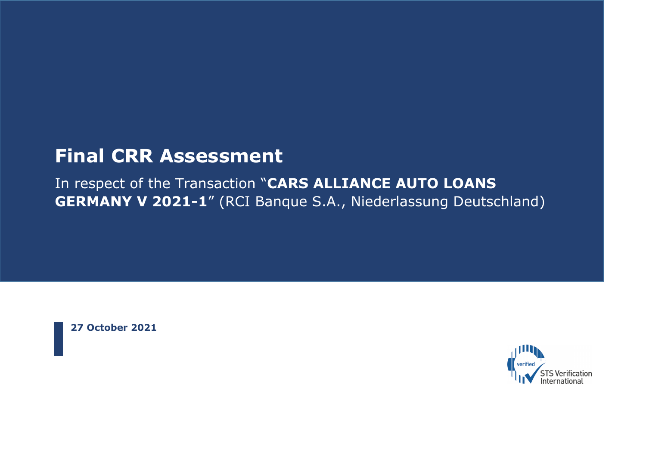# **Final CRR Assessment**

In respect of the Transaction "**CARS ALLIANCE AUTO LOANS GERMANY V 2021-1**" (RCI Banque S.A., Niederlassung Deutschland)

**27 October 2021**

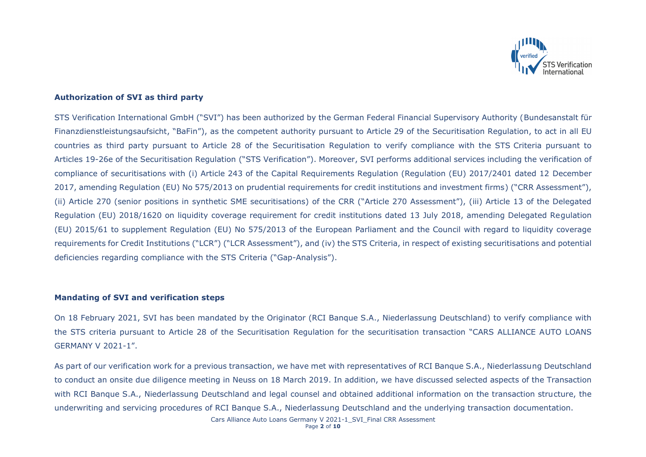

# **Authorization of SVI as third party**

STS Verification International GmbH ("SVI") has been authorized by the German Federal Financial Supervisory Authority (Bundesanstalt für Finanzdienstleistungsaufsicht, "BaFin"), as the competent authority pursuant to Article 29 of the Securitisation Regulation, to act in all EU countries as third party pursuant to Article 28 of the Securitisation Regulation to verify compliance with the STS Criteria pursuant to Articles 19-26e of the Securitisation Regulation ("STS Verification"). Moreover, SVI performs additional services including the verification of compliance of securitisations with (i) Article 243 of the Capital Requirements Regulation (Regulation (EU) 2017/2401 dated 12 December 2017, amending Regulation (EU) No 575/2013 on prudential requirements for credit institutions and investment firms) ("CRR Assessment"), (ii) Article 270 (senior positions in synthetic SME securitisations) of the CRR ("Article 270 Assessment"), (iii) Article 13 of the Delegated Regulation (EU) 2018/1620 on liquidity coverage requirement for credit institutions dated 13 July 2018, amending Delegated Regulation (EU) 2015/61 to supplement Regulation (EU) No 575/2013 of the European Parliament and the Council with regard to liquidity coverage requirements for Credit Institutions ("LCR") ("LCR Assessment"), and (iv) the STS Criteria, in respect of existing securitisations and potential deficiencies regarding compliance with the STS Criteria ("Gap-Analysis").

#### **Mandating of SVI and verification steps**

On 18 February 2021, SVI has been mandated by the Originator (RCI Banque S.A., Niederlassung Deutschland) to verify compliance with the STS criteria pursuant to Article 28 of the Securitisation Regulation for the securitisation transaction "CARS ALLIANCE AUTO LOANS GERMANY V 2021-1".

As part of our verification work for a previous transaction, we have met with representatives of RCI Banque S.A., Niederlassung Deutschland to conduct an onsite due diligence meeting in Neuss on 18 March 2019. In addition, we have discussed selected aspects of the Transaction with RCI Banque S.A., Niederlassung Deutschland and legal counsel and obtained additional information on the transaction structure, the underwriting and servicing procedures of RCI Banque S.A., Niederlassung Deutschland and the underlying transaction documentation.

Cars Alliance Auto Loans Germany V 2021-1\_SVI\_Final CRR Assessment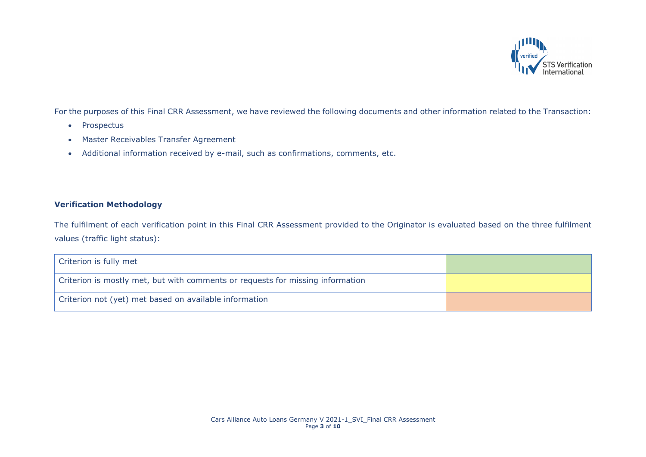

For the purposes of this Final CRR Assessment, we have reviewed the following documents and other information related to the Transaction:

- Prospectus
- Master Receivables Transfer Agreement
- Additional information received by e-mail, such as confirmations, comments, etc.

# **Verification Methodology**

The fulfilment of each verification point in this Final CRR Assessment provided to the Originator is evaluated based on the three fulfilment values (traffic light status):

| Criterion is fully met                                                         |  |
|--------------------------------------------------------------------------------|--|
| Criterion is mostly met, but with comments or requests for missing information |  |
| Criterion not (yet) met based on available information                         |  |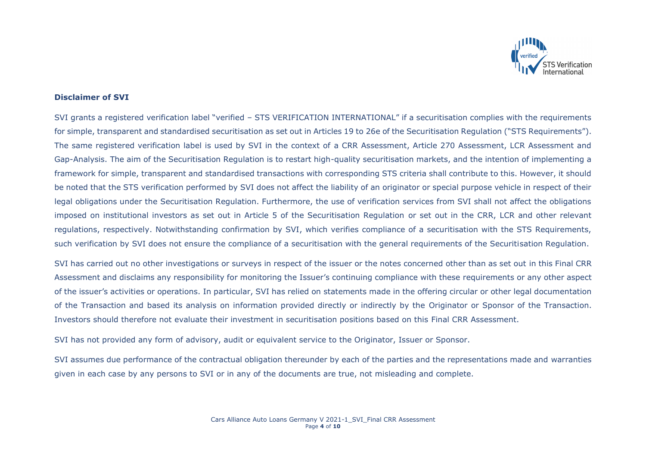

### **Disclaimer of SVI**

SVI grants a registered verification label "verified – STS VERIFICATION INTERNATIONAL" if a securitisation complies with the requirements for simple, transparent and standardised securitisation as set out in Articles 19 to 26e of the Securitisation Regulation ("STS Requirements"). The same registered verification label is used by SVI in the context of a CRR Assessment, Article 270 Assessment, LCR Assessment and Gap-Analysis. The aim of the Securitisation Regulation is to restart high-quality securitisation markets, and the intention of implementing a framework for simple, transparent and standardised transactions with corresponding STS criteria shall contribute to this. However, it should be noted that the STS verification performed by SVI does not affect the liability of an originator or special purpose vehicle in respect of their legal obligations under the Securitisation Regulation. Furthermore, the use of verification services from SVI shall not affect the obligations imposed on institutional investors as set out in Article 5 of the Securitisation Regulation or set out in the CRR, LCR and other relevant regulations, respectively. Notwithstanding confirmation by SVI, which verifies compliance of a securitisation with the STS Requirements, such verification by SVI does not ensure the compliance of a securitisation with the general requirements of the Securitisation Regulation.

SVI has carried out no other investigations or surveys in respect of the issuer or the notes concerned other than as set out in this Final CRR Assessment and disclaims any responsibility for monitoring the Issuer's continuing compliance with these requirements or any other aspect of the issuer's activities or operations. In particular, SVI has relied on statements made in the offering circular or other legal documentation of the Transaction and based its analysis on information provided directly or indirectly by the Originator or Sponsor of the Transaction. Investors should therefore not evaluate their investment in securitisation positions based on this Final CRR Assessment.

SVI has not provided any form of advisory, audit or equivalent service to the Originator, Issuer or Sponsor.

SVI assumes due performance of the contractual obligation thereunder by each of the parties and the representations made and warranties given in each case by any persons to SVI or in any of the documents are true, not misleading and complete.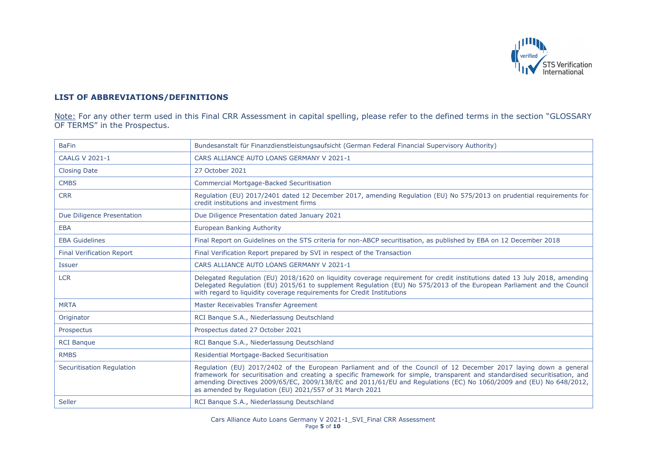

# **LIST OF ABBREVIATIONS/DEFINITIONS**

Note: For any other term used in this Final CRR Assessment in capital spelling, please refer to the defined terms in the section "GLOSSARY OF TERMS" in the Prospectus.

| <b>BaFin</b>                     | Bundesanstalt für Finanzdienstleistungsaufsicht (German Federal Financial Supervisory Authority)                                                                                                                                                                                                                                                                                                                                  |
|----------------------------------|-----------------------------------------------------------------------------------------------------------------------------------------------------------------------------------------------------------------------------------------------------------------------------------------------------------------------------------------------------------------------------------------------------------------------------------|
| <b>CAALG V 2021-1</b>            | CARS ALLIANCE AUTO LOANS GERMANY V 2021-1                                                                                                                                                                                                                                                                                                                                                                                         |
| <b>Closing Date</b>              | 27 October 2021                                                                                                                                                                                                                                                                                                                                                                                                                   |
| <b>CMBS</b>                      | Commercial Mortgage-Backed Securitisation                                                                                                                                                                                                                                                                                                                                                                                         |
| <b>CRR</b>                       | Regulation (EU) 2017/2401 dated 12 December 2017, amending Regulation (EU) No 575/2013 on prudential requirements for<br>credit institutions and investment firms                                                                                                                                                                                                                                                                 |
| Due Diligence Presentation       | Due Diligence Presentation dated January 2021                                                                                                                                                                                                                                                                                                                                                                                     |
| <b>EBA</b>                       | <b>European Banking Authority</b>                                                                                                                                                                                                                                                                                                                                                                                                 |
| <b>EBA Guidelines</b>            | Final Report on Guidelines on the STS criteria for non-ABCP securitisation, as published by EBA on 12 December 2018                                                                                                                                                                                                                                                                                                               |
| <b>Final Verification Report</b> | Final Verification Report prepared by SVI in respect of the Transaction                                                                                                                                                                                                                                                                                                                                                           |
| <b>Issuer</b>                    | CARS ALLIANCE AUTO LOANS GERMANY V 2021-1                                                                                                                                                                                                                                                                                                                                                                                         |
| <b>LCR</b>                       | Delegated Regulation (EU) 2018/1620 on liquidity coverage requirement for credit institutions dated 13 July 2018, amending<br>Delegated Regulation (EU) 2015/61 to supplement Regulation (EU) No 575/2013 of the European Parliament and the Council<br>with regard to liquidity coverage requirements for Credit Institutions                                                                                                    |
| <b>MRTA</b>                      | Master Receivables Transfer Agreement                                                                                                                                                                                                                                                                                                                                                                                             |
| Originator                       | RCI Banque S.A., Niederlassung Deutschland                                                                                                                                                                                                                                                                                                                                                                                        |
| Prospectus                       | Prospectus dated 27 October 2021                                                                                                                                                                                                                                                                                                                                                                                                  |
| <b>RCI Banque</b>                | RCI Banque S.A., Niederlassung Deutschland                                                                                                                                                                                                                                                                                                                                                                                        |
| <b>RMBS</b>                      | Residential Mortgage-Backed Securitisation                                                                                                                                                                                                                                                                                                                                                                                        |
| <b>Securitisation Regulation</b> | Regulation (EU) 2017/2402 of the European Parliament and of the Council of 12 December 2017 laying down a general<br>framework for securitisation and creating a specific framework for simple, transparent and standardised securitisation, and<br>amending Directives 2009/65/EC, 2009/138/EC and 2011/61/EU and Regulations (EC) No 1060/2009 and (EU) No 648/2012,<br>as amended by Regulation (EU) 2021/557 of 31 March 2021 |
| Seller                           | RCI Banque S.A., Niederlassung Deutschland                                                                                                                                                                                                                                                                                                                                                                                        |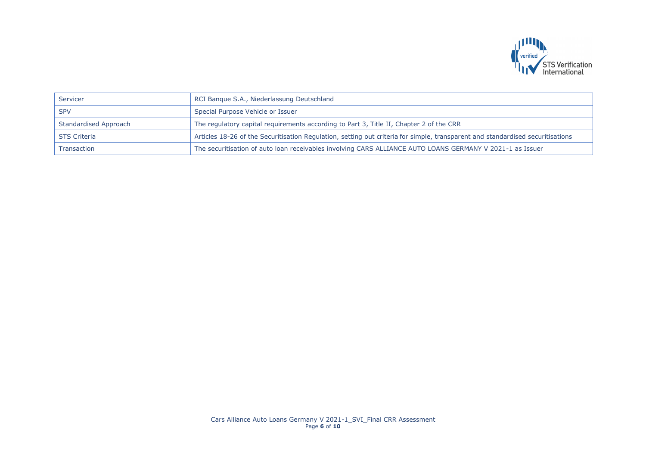

| Servicer              | RCI Banque S.A., Niederlassung Deutschland                                                                                     |
|-----------------------|--------------------------------------------------------------------------------------------------------------------------------|
| <b>SPV</b>            | Special Purpose Vehicle or Issuer                                                                                              |
| Standardised Approach | The regulatory capital requirements according to Part 3, Title II, Chapter 2 of the CRR                                        |
| <b>STS Criteria</b>   | Articles 18-26 of the Securitisation Regulation, setting out criteria for simple, transparent and standardised securitisations |
| Transaction           | The securitisation of auto loan receivables involving CARS ALLIANCE AUTO LOANS GERMANY V 2021-1 as Issuer                      |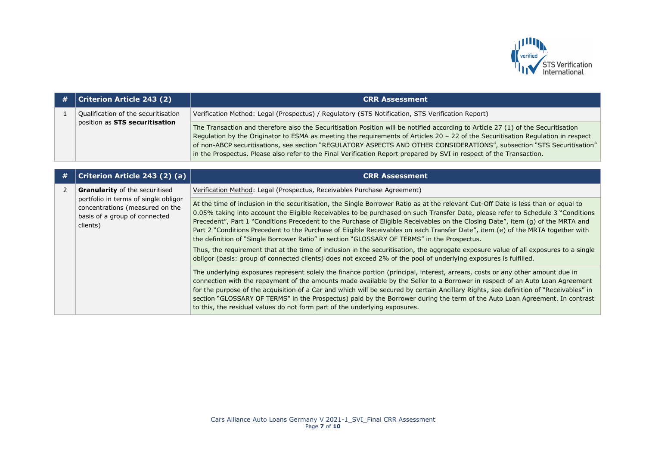

| # | Criterion Article 243 (2)                                             | <b>CRR Assessment</b>                                                                                                                                                                                                                                                                                                                                                                                                                                                                                                    |
|---|-----------------------------------------------------------------------|--------------------------------------------------------------------------------------------------------------------------------------------------------------------------------------------------------------------------------------------------------------------------------------------------------------------------------------------------------------------------------------------------------------------------------------------------------------------------------------------------------------------------|
|   | Qualification of the securitisation<br>position as STS securitisation | Verification Method: Legal (Prospectus) / Regulatory (STS Notification, STS Verification Report)                                                                                                                                                                                                                                                                                                                                                                                                                         |
|   |                                                                       | The Transaction and therefore also the Securitisation Position will be notified according to Article 27 (1) of the Securitisation<br>Regulation by the Originator to ESMA as meeting the requirements of Articles 20 - 22 of the Securitisation Regulation in respect<br>of non-ABCP securitisations, see section "REGULATORY ASPECTS AND OTHER CONSIDERATIONS", subsection "STS Securitisation"<br>in the Prospectus. Please also refer to the Final Verification Report prepared by SVI in respect of the Transaction. |

| # | Criterion Article 243 (2) (a)                                                                                        | <b>CRR Assessment</b>                                                                                                                                                                                                                                                                                                                                                                                                                                                                                                                                                                                                                                                                                                                                                                                                                                                                                   |
|---|----------------------------------------------------------------------------------------------------------------------|---------------------------------------------------------------------------------------------------------------------------------------------------------------------------------------------------------------------------------------------------------------------------------------------------------------------------------------------------------------------------------------------------------------------------------------------------------------------------------------------------------------------------------------------------------------------------------------------------------------------------------------------------------------------------------------------------------------------------------------------------------------------------------------------------------------------------------------------------------------------------------------------------------|
|   | <b>Granularity</b> of the securitised                                                                                | Verification Method: Legal (Prospectus, Receivables Purchase Agreement)                                                                                                                                                                                                                                                                                                                                                                                                                                                                                                                                                                                                                                                                                                                                                                                                                                 |
|   | portfolio in terms of single obligor<br>concentrations (measured on the<br>basis of a group of connected<br>clients) | At the time of inclusion in the securitisation, the Single Borrower Ratio as at the relevant Cut-Off Date is less than or equal to<br>0.05% taking into account the Eligible Receivables to be purchased on such Transfer Date, please refer to Schedule 3 "Conditions<br>Precedent", Part 1 "Conditions Precedent to the Purchase of Eligible Receivables on the Closing Date", item (g) of the MRTA and<br>Part 2 "Conditions Precedent to the Purchase of Eligible Receivables on each Transfer Date", item (e) of the MRTA together with<br>the definition of "Single Borrower Ratio" in section "GLOSSARY OF TERMS" in the Prospectus.<br>Thus, the requirement that at the time of inclusion in the securitisation, the aggregate exposure value of all exposures to a single<br>obligor (basis: group of connected clients) does not exceed 2% of the pool of underlying exposures is fulfilled. |
|   |                                                                                                                      | The underlying exposures represent solely the finance portion (principal, interest, arrears, costs or any other amount due in<br>connection with the repayment of the amounts made available by the Seller to a Borrower in respect of an Auto Loan Agreement<br>for the purpose of the acquisition of a Car and which will be secured by certain Ancillary Rights, see definition of "Receivables" in<br>section "GLOSSARY OF TERMS" in the Prospectus) paid by the Borrower during the term of the Auto Loan Agreement. In contrast<br>to this, the residual values do not form part of the underlying exposures.                                                                                                                                                                                                                                                                                     |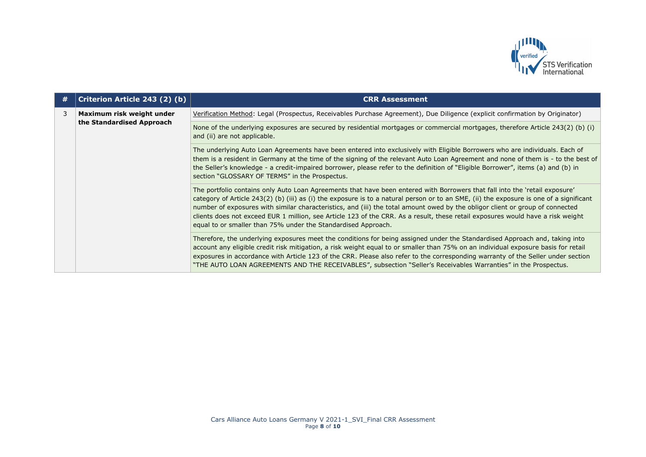

| # | Criterion Article 243 (2) (b)                          | <b>CRR Assessment</b>                                                                                                                                                                                                                                                                                                                                                                                                                                                                                                                                                                                       |
|---|--------------------------------------------------------|-------------------------------------------------------------------------------------------------------------------------------------------------------------------------------------------------------------------------------------------------------------------------------------------------------------------------------------------------------------------------------------------------------------------------------------------------------------------------------------------------------------------------------------------------------------------------------------------------------------|
| 3 | Maximum risk weight under<br>the Standardised Approach | Verification Method: Legal (Prospectus, Receivables Purchase Agreement), Due Diligence (explicit confirmation by Originator)                                                                                                                                                                                                                                                                                                                                                                                                                                                                                |
|   |                                                        | None of the underlying exposures are secured by residential mortgages or commercial mortgages, therefore Article 243(2) (b) (i)<br>and (ii) are not applicable.                                                                                                                                                                                                                                                                                                                                                                                                                                             |
|   |                                                        | The underlying Auto Loan Agreements have been entered into exclusively with Eligible Borrowers who are individuals. Each of<br>them is a resident in Germany at the time of the signing of the relevant Auto Loan Agreement and none of them is - to the best of<br>the Seller's knowledge - a credit-impaired borrower, please refer to the definition of "Eligible Borrower", items (a) and (b) in<br>section "GLOSSARY OF TERMS" in the Prospectus.                                                                                                                                                      |
|   |                                                        | The portfolio contains only Auto Loan Agreements that have been entered with Borrowers that fall into the 'retail exposure'<br>category of Article 243(2) (b) (iii) as (i) the exposure is to a natural person or to an SME, (ii) the exposure is one of a significant<br>number of exposures with similar characteristics, and (iii) the total amount owed by the obligor client or group of connected<br>clients does not exceed EUR 1 million, see Article 123 of the CRR. As a result, these retail exposures would have a risk weight<br>equal to or smaller than 75% under the Standardised Approach. |
|   |                                                        | Therefore, the underlying exposures meet the conditions for being assigned under the Standardised Approach and, taking into<br>account any eligible credit risk mitigation, a risk weight equal to or smaller than 75% on an individual exposure basis for retail<br>exposures in accordance with Article 123 of the CRR. Please also refer to the corresponding warranty of the Seller under section<br>"THE AUTO LOAN AGREEMENTS AND THE RECEIVABLES", subsection "Seller's Receivables Warranties" in the Prospectus.                                                                                    |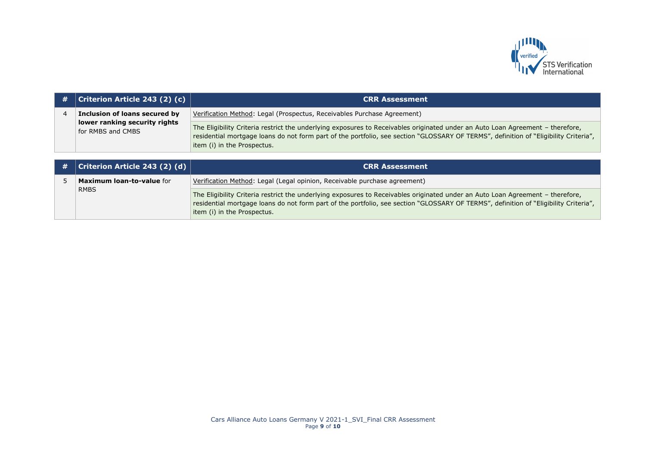

| # | $ $ Criterion Article 243 (2) (c)                  | <b>CRR Assessment</b>                                                                                                                                                                                                                                                                                 |
|---|----------------------------------------------------|-------------------------------------------------------------------------------------------------------------------------------------------------------------------------------------------------------------------------------------------------------------------------------------------------------|
|   | Inclusion of loans secured by                      | Verification Method: Legal (Prospectus, Receivables Purchase Agreement)                                                                                                                                                                                                                               |
|   | lower ranking security rights<br>for RMBS and CMBS | The Eligibility Criteria restrict the underlying exposures to Receivables originated under an Auto Loan Agreement - therefore,<br>residential mortgage loans do not form part of the portfolio, see section "GLOSSARY OF TERMS", definition of "Eligibility Criteria",<br>item (i) in the Prospectus. |

| $\vert$ # $\vert$ Criterion Article 243 (2) (d) $\vert$ | <b>CRR Assessment</b>                                                                                                                                                                                                                                                                                 |
|---------------------------------------------------------|-------------------------------------------------------------------------------------------------------------------------------------------------------------------------------------------------------------------------------------------------------------------------------------------------------|
| <b>Maximum loan-to-value for</b>                        | Verification Method: Legal (Legal opinion, Receivable purchase agreement)                                                                                                                                                                                                                             |
| <b>RMBS</b>                                             | The Eligibility Criteria restrict the underlying exposures to Receivables originated under an Auto Loan Agreement - therefore,<br>residential mortgage loans do not form part of the portfolio, see section "GLOSSARY OF TERMS", definition of "Eligibility Criteria",<br>item (i) in the Prospectus. |